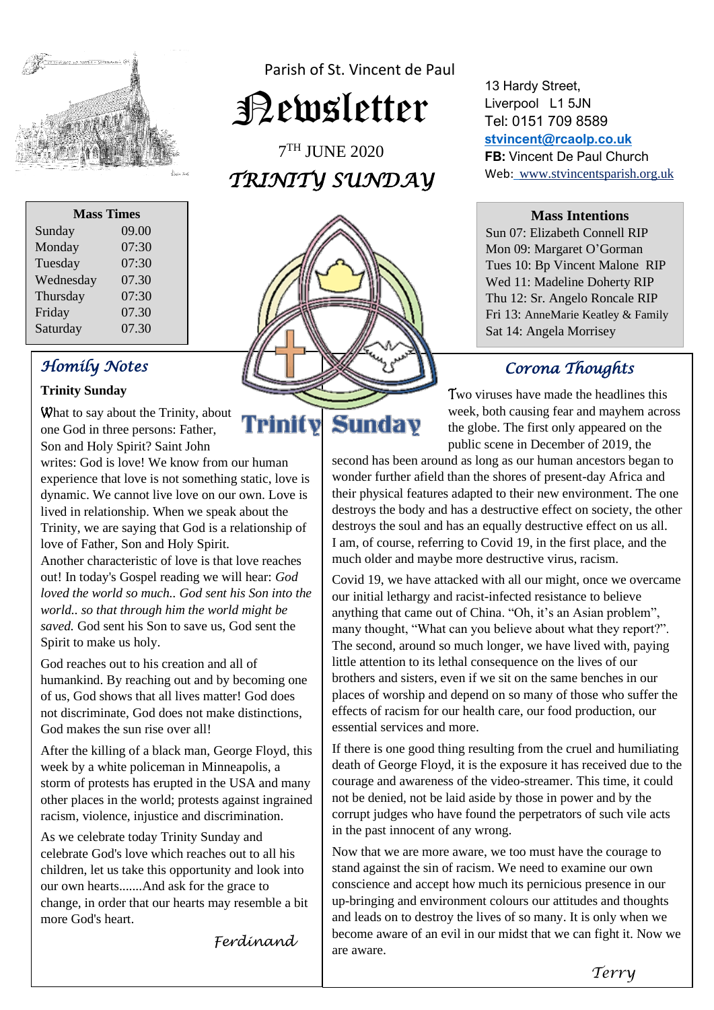

Parish of St. Vincent de Paul

Newsletter

7 TH JUNE 2020 *TRINITY SUNDAY* 

| <b>Mass Times</b> |       |
|-------------------|-------|
| Sunday            | 09.00 |
| Monday            | 07:30 |
| Tuesday           | 07:30 |
| Wednesday         | 07.30 |
| Thursday          | 07:30 |
| Friday            | 07.30 |
| Saturday          | 07.30 |

## *Homily Notes*

#### **Trinity Sunday**

What to say about the Trinity, about one God in three persons: Father, Son and Holy Spirit? Saint John

writes: God is love! We know from our human experience that love is not something static, love is dynamic. We cannot live love on our own. Love is lived in relationship. When we speak about the Trinity, we are saying that God is a relationship of love of Father, Son and Holy Spirit.

Another characteristic of love is that love reaches out! In today's Gospel reading we will hear: *God loved the world so much.. God sent his Son into the world.. so that through him the world might be saved.* God sent his Son to save us, God sent the Spirit to make us holy.

God reaches out to his creation and all of humankind. By reaching out and by becoming one of us, God shows that all lives matter! God does not discriminate, God does not make distinctions, God makes the sun rise over all!

After the killing of a black man, George Floyd, this week by a white policeman in Minneapolis, a storm of protests has erupted in the USA and many other places in the world; protests against ingrained racism, violence, injustice and discrimination.

As we celebrate today Trinity Sunday and celebrate God's love which reaches out to all his children, let us take this opportunity and look into our own hearts.......And ask for the grace to change, in order that our hearts may resemble a bit more God's heart.

*Ferdinand* 



Trinity

13 Hardy Street, Liverpool L1 5JN Tel: 0151 709 8589 **[stvincent@rcaolp.co.uk](mailto:stvincent@rcaolp.co.uk) FB:** Vincent De Paul Church Web: www.stvincentsparish.org.uk

#### **Mass Intentions**

Sun 07: Elizabeth Connell RIP Mon 09: Margaret O'Gorman Tues 10: Bp Vincent Malone RIP Wed 11: Madeline Doherty RIP Thu 12: Sr. Angelo Roncale RIP Fri 13: AnneMarie Keatley & Family Sat 14: Angela Morrisey

## *Corona Thoughts*

 Two viruses have made the headlines this week, both causing fear and mayhem across<br> **Sunday** the globe. The first only appeared on the the globe. The first only appeared on the public scene in December of 2019, the

second has been around as long as our human ancestors began to wonder further afield than the shores of present-day Africa and their physical features adapted to their new environment. The one destroys the body and has a destructive effect on society, the other destroys the soul and has an equally destructive effect on us all. I am, of course, referring to Covid 19, in the first place, and the much older and maybe more destructive virus, racism.

Covid 19, we have attacked with all our might, once we overcame our initial lethargy and racist-infected resistance to believe anything that came out of China. "Oh, it's an Asian problem", many thought, "What can you believe about what they report?". The second, around so much longer, we have lived with, paying little attention to its lethal consequence on the lives of our brothers and sisters, even if we sit on the same benches in our places of worship and depend on so many of those who suffer the effects of racism for our health care, our food production, our essential services and more.

If there is one good thing resulting from the cruel and humiliating death of George Floyd, it is the exposure it has received due to the courage and awareness of the video-streamer. This time, it could not be denied, not be laid aside by those in power and by the corrupt judges who have found the perpetrators of such vile acts in the past innocent of any wrong.

Now that we are more aware, we too must have the courage to stand against the sin of racism. We need to examine our own conscience and accept how much its pernicious presence in our up-bringing and environment colours our attitudes and thoughts and leads on to destroy the lives of so many. It is only when we become aware of an evil in our midst that we can fight it. Now we are aware.